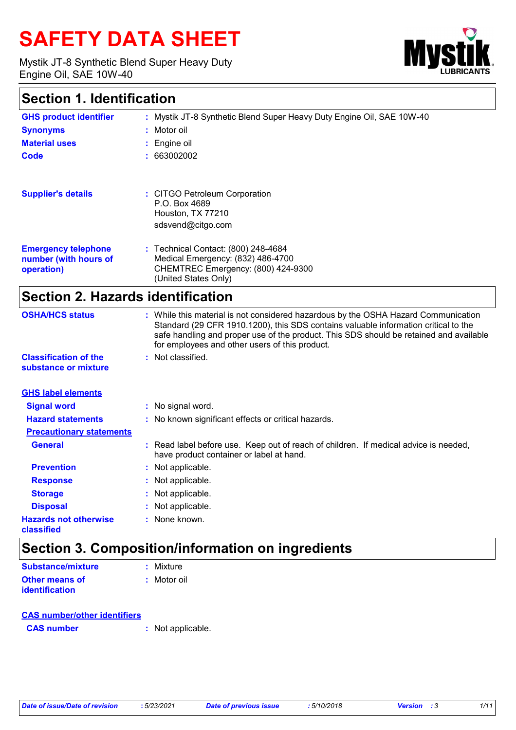# **SAFETY DATA SHEET**

Mystik JT-8 Synthetic Blend Super Heavy Duty Engine Oil, SAE 10W-40



### **Section 1. Identification**

| <b>GHS product identifier</b>            | : Mystik JT-8 Synthetic Blend Super Heavy Duty Engine Oil, SAE 10W-40                                                                                                                                                                                                                                                 |
|------------------------------------------|-----------------------------------------------------------------------------------------------------------------------------------------------------------------------------------------------------------------------------------------------------------------------------------------------------------------------|
| <b>Synonyms</b>                          | Motor oil                                                                                                                                                                                                                                                                                                             |
| <b>Material uses</b>                     | Engine oil                                                                                                                                                                                                                                                                                                            |
| Code                                     | 663002002                                                                                                                                                                                                                                                                                                             |
| <b>Supplier's details</b>                | : CITGO Petroleum Corporation                                                                                                                                                                                                                                                                                         |
|                                          | P.O. Box 4689                                                                                                                                                                                                                                                                                                         |
|                                          | Houston, TX 77210                                                                                                                                                                                                                                                                                                     |
|                                          | sdsvend@citgo.com                                                                                                                                                                                                                                                                                                     |
| <b>Emergency telephone</b>               | : Technical Contact: (800) 248-4684                                                                                                                                                                                                                                                                                   |
| number (with hours of                    | Medical Emergency: (832) 486-4700                                                                                                                                                                                                                                                                                     |
| operation)                               | CHEMTREC Emergency: (800) 424-9300<br>(United States Only)                                                                                                                                                                                                                                                            |
| <b>Section 2. Hazards identification</b> |                                                                                                                                                                                                                                                                                                                       |
| <b>OSHA/HCS status</b>                   | : While this material is not considered hazardous by the OSHA Hazard Communication<br>Standard (29 CFR 1910.1200), this SDS contains valuable information critical to the<br>safe handling and proper use of the product. This SDS should be retained and available<br>for employees and other users of this product. |
| <b>Classification of the</b>             | Not classified.                                                                                                                                                                                                                                                                                                       |
| substance or mixture                     |                                                                                                                                                                                                                                                                                                                       |
| <b>GHS label elements</b>                |                                                                                                                                                                                                                                                                                                                       |
| <b>Signal word</b>                       | : No signal word.                                                                                                                                                                                                                                                                                                     |
| <b>Hazard statements</b>                 | : No known significant effects or critical hazards.                                                                                                                                                                                                                                                                   |
| <b>Precautionary statements</b>          |                                                                                                                                                                                                                                                                                                                       |
| <b>General</b>                           | : Read label before use. Keep out of reach of children. If medical advice is needed,<br>have product container or label at hand.                                                                                                                                                                                      |
| <b>Prevention</b>                        | Not applicable.                                                                                                                                                                                                                                                                                                       |
| <b>Response</b>                          | Not applicable.                                                                                                                                                                                                                                                                                                       |
| <b>Storage</b>                           | Not applicable.                                                                                                                                                                                                                                                                                                       |
| <b>Disposal</b>                          | Not applicable.                                                                                                                                                                                                                                                                                                       |
| <b>Hazards not otherwise</b>             | : None known.                                                                                                                                                                                                                                                                                                         |

### **Section 3. Composition/information on ingredients**

| <b>Substance/mixture</b> | $:$ Mixture |
|--------------------------|-------------|
| Other means of           | : Motor oil |
| <b>identification</b>    |             |

#### **CAS number/other identifiers**

**CAS number :** Not applicable.

**classified**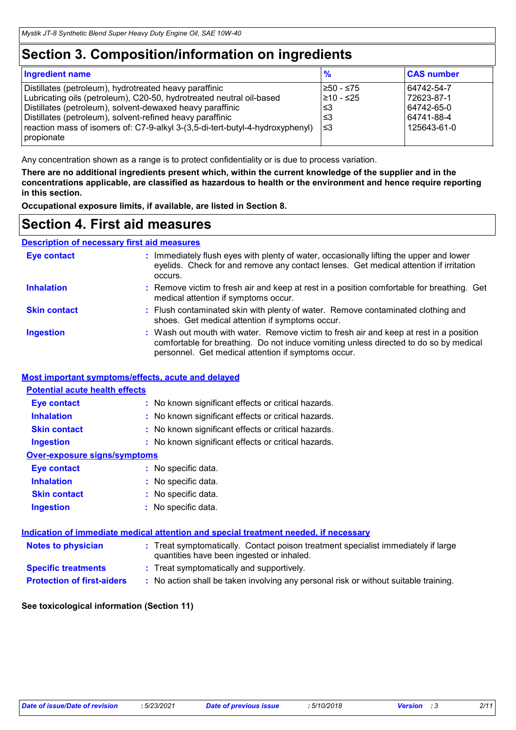### **Section 3. Composition/information on ingredients**

| <b>Ingredient name</b>                                                                      | $\frac{9}{6}$ | <b>CAS number</b> |
|---------------------------------------------------------------------------------------------|---------------|-------------------|
| Distillates (petroleum), hydrotreated heavy paraffinic                                      | 1≥50 - ≤75    | 64742-54-7        |
| Lubricating oils (petroleum), C20-50, hydrotreated neutral oil-based                        | I≥10 - ≤25    | 72623-87-1        |
| Distillates (petroleum), solvent-dewaxed heavy paraffinic                                   | ו≥ا           | 64742-65-0        |
| Distillates (petroleum), solvent-refined heavy paraffinic                                   | ו≤3           | 64741-88-4        |
| reaction mass of isomers of: C7-9-alkyl 3-(3,5-di-tert-butyl-4-hydroxyphenyl)<br>propionate | 3≥ا           | 125643-61-0       |

Any concentration shown as a range is to protect confidentiality or is due to process variation.

**There are no additional ingredients present which, within the current knowledge of the supplier and in the concentrations applicable, are classified as hazardous to health or the environment and hence require reporting in this section.**

**Occupational exposure limits, if available, are listed in Section 8.**

#### **Section 4. First aid measures**

#### **Description of necessary first aid measures**

| <b>Eye contact</b>  | : Immediately flush eyes with plenty of water, occasionally lifting the upper and lower<br>eyelids. Check for and remove any contact lenses. Get medical attention if irritation<br>occurs.                                            |
|---------------------|----------------------------------------------------------------------------------------------------------------------------------------------------------------------------------------------------------------------------------------|
| <b>Inhalation</b>   | : Remove victim to fresh air and keep at rest in a position comfortable for breathing. Get<br>medical attention if symptoms occur.                                                                                                     |
| <b>Skin contact</b> | : Flush contaminated skin with plenty of water. Remove contaminated clothing and<br>shoes. Get medical attention if symptoms occur.                                                                                                    |
| <b>Ingestion</b>    | : Wash out mouth with water. Remove victim to fresh air and keep at rest in a position<br>comfortable for breathing. Do not induce vomiting unless directed to do so by medical<br>personnel. Get medical attention if symptoms occur. |

#### **Most important symptoms/effects, acute and delayed**

| <b>Eye contact</b>                  | : No known significant effects or critical hazards. |
|-------------------------------------|-----------------------------------------------------|
| <b>Inhalation</b>                   | : No known significant effects or critical hazards. |
| <b>Skin contact</b>                 | : No known significant effects or critical hazards. |
| <b>Ingestion</b>                    | : No known significant effects or critical hazards. |
| <b>Over-exposure signs/symptoms</b> |                                                     |
| <b>Eve contact</b>                  | : No specific data.                                 |
| <b>Inhalation</b>                   | : No specific data.                                 |
| <b>Skin contact</b>                 | : No specific data.                                 |
| <b>Ingestion</b>                    | : No specific data.                                 |

| <b>Notes to physician</b>         | : Treat symptomatically. Contact poison treatment specialist immediately if large<br>quantities have been ingested or inhaled. |
|-----------------------------------|--------------------------------------------------------------------------------------------------------------------------------|
| <b>Specific treatments</b>        | : Treat symptomatically and supportively.                                                                                      |
| <b>Protection of first-aiders</b> | No action shall be taken involving any personal risk or without suitable training.                                             |

#### **See toxicological information (Section 11)**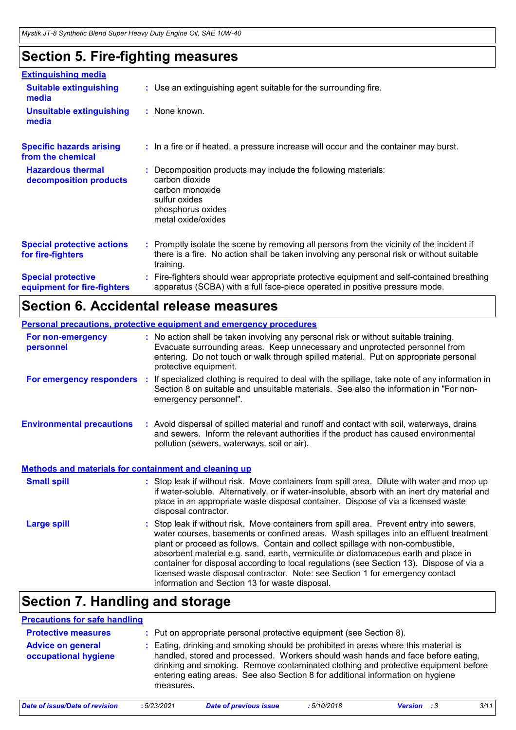## **Section 5. Fire-fighting measures**

| <b>Extinguishing media</b>                               |                                                                                                                                                                                                     |
|----------------------------------------------------------|-----------------------------------------------------------------------------------------------------------------------------------------------------------------------------------------------------|
| <b>Suitable extinguishing</b><br>media                   | : Use an extinguishing agent suitable for the surrounding fire.                                                                                                                                     |
| <b>Unsuitable extinguishing</b><br>media                 | : None known.                                                                                                                                                                                       |
| <b>Specific hazards arising</b><br>from the chemical     | : In a fire or if heated, a pressure increase will occur and the container may burst.                                                                                                               |
| <b>Hazardous thermal</b><br>decomposition products       | Decomposition products may include the following materials:<br>carbon dioxide<br>carbon monoxide<br>sulfur oxides<br>phosphorus oxides<br>metal oxide/oxides                                        |
| <b>Special protective actions</b><br>for fire-fighters   | : Promptly isolate the scene by removing all persons from the vicinity of the incident if<br>there is a fire. No action shall be taken involving any personal risk or without suitable<br>training. |
| <b>Special protective</b><br>equipment for fire-fighters | Fire-fighters should wear appropriate protective equipment and self-contained breathing<br>apparatus (SCBA) with a full face-piece operated in positive pressure mode.                              |

### **Section 6. Accidental release measures**

|                                                              | <b>Personal precautions, protective equipment and emergency procedures</b>                                                                                                                                                                                                                                                                                                                                                                                                                                                                                                               |
|--------------------------------------------------------------|------------------------------------------------------------------------------------------------------------------------------------------------------------------------------------------------------------------------------------------------------------------------------------------------------------------------------------------------------------------------------------------------------------------------------------------------------------------------------------------------------------------------------------------------------------------------------------------|
| For non-emergency<br>personnel                               | : No action shall be taken involving any personal risk or without suitable training.<br>Evacuate surrounding areas. Keep unnecessary and unprotected personnel from<br>entering. Do not touch or walk through spilled material. Put on appropriate personal<br>protective equipment.                                                                                                                                                                                                                                                                                                     |
| For emergency responders :                                   | If specialized clothing is required to deal with the spillage, take note of any information in<br>Section 8 on suitable and unsuitable materials. See also the information in "For non-<br>emergency personnel".                                                                                                                                                                                                                                                                                                                                                                         |
| <b>Environmental precautions</b>                             | : Avoid dispersal of spilled material and runoff and contact with soil, waterways, drains<br>and sewers. Inform the relevant authorities if the product has caused environmental<br>pollution (sewers, waterways, soil or air).                                                                                                                                                                                                                                                                                                                                                          |
| <b>Methods and materials for containment and cleaning up</b> |                                                                                                                                                                                                                                                                                                                                                                                                                                                                                                                                                                                          |
| <b>Small spill</b>                                           | : Stop leak if without risk. Move containers from spill area. Dilute with water and mop up<br>if water-soluble. Alternatively, or if water-insoluble, absorb with an inert dry material and<br>place in an appropriate waste disposal container. Dispose of via a licensed waste<br>disposal contractor.                                                                                                                                                                                                                                                                                 |
| <b>Large spill</b>                                           | Stop leak if without risk. Move containers from spill area. Prevent entry into sewers,<br>water courses, basements or confined areas. Wash spillages into an effluent treatment<br>plant or proceed as follows. Contain and collect spillage with non-combustible,<br>absorbent material e.g. sand, earth, vermiculite or diatomaceous earth and place in<br>container for disposal according to local regulations (see Section 13). Dispose of via a<br>licensed waste disposal contractor. Note: see Section 1 for emergency contact<br>information and Section 13 for waste disposal. |

### **Section 7. Handling and storage**

| <b>Precautions for safe handling</b>             |             |                                                                                                                                                                                                                                                                                                                                                |            |                |     |      |
|--------------------------------------------------|-------------|------------------------------------------------------------------------------------------------------------------------------------------------------------------------------------------------------------------------------------------------------------------------------------------------------------------------------------------------|------------|----------------|-----|------|
| <b>Protective measures</b>                       |             | : Put on appropriate personal protective equipment (see Section 8).                                                                                                                                                                                                                                                                            |            |                |     |      |
| <b>Advice on general</b><br>occupational hygiene | measures.   | Eating, drinking and smoking should be prohibited in areas where this material is<br>handled, stored and processed. Workers should wash hands and face before eating,<br>drinking and smoking. Remove contaminated clothing and protective equipment before<br>entering eating areas. See also Section 8 for additional information on hygiene |            |                |     |      |
| Date of issue/Date of revision                   | : 5/23/2021 | <b>Date of previous issue</b>                                                                                                                                                                                                                                                                                                                  | :5/10/2018 | <b>Version</b> | - 3 | 3/11 |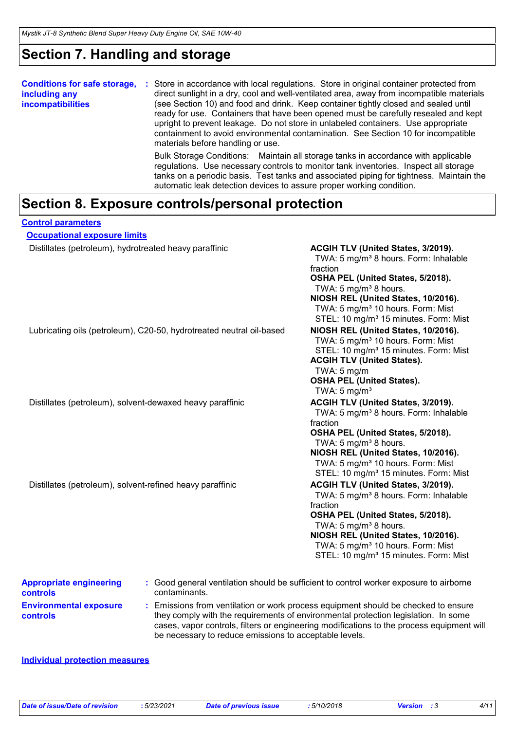### **Section 7. Handling and storage**

| <b>Conditions for safe storage,</b><br>including any<br><b>incompatibilities</b> | Store in accordance with local regulations. Store in original container protected from<br>÷<br>direct sunlight in a dry, cool and well-ventilated area, away from incompatible materials<br>(see Section 10) and food and drink. Keep container tightly closed and sealed until<br>ready for use. Containers that have been opened must be carefully resealed and kept<br>upright to prevent leakage. Do not store in unlabeled containers. Use appropriate<br>containment to avoid environmental contamination. See Section 10 for incompatible<br>materials before handling or use. |
|----------------------------------------------------------------------------------|---------------------------------------------------------------------------------------------------------------------------------------------------------------------------------------------------------------------------------------------------------------------------------------------------------------------------------------------------------------------------------------------------------------------------------------------------------------------------------------------------------------------------------------------------------------------------------------|
|                                                                                  | Bulk Storage Conditions: Maintain all storage tanks in accordance with applicable<br>regulations. Use necessary controls to monitor tank inventories. Inspect all storage<br>tanks on a periodic basis. Test tanks and associated piping for tightness. Maintain the<br>automatic leak detection devices to assure proper working condition.                                                                                                                                                                                                                                          |

#### **Section 8. Exposure controls/personal protection**

| <b>Control parameters</b>                                            |                                                                                                                                                                                                                                                                                                                            |
|----------------------------------------------------------------------|----------------------------------------------------------------------------------------------------------------------------------------------------------------------------------------------------------------------------------------------------------------------------------------------------------------------------|
| <b>Occupational exposure limits</b>                                  |                                                                                                                                                                                                                                                                                                                            |
| Distillates (petroleum), hydrotreated heavy paraffinic               | ACGIH TLV (United States, 3/2019).<br>TWA: 5 mg/m <sup>3</sup> 8 hours. Form: Inhalable<br>fraction<br>OSHA PEL (United States, 5/2018).<br>TWA: 5 mg/m <sup>3</sup> 8 hours.<br>NIOSH REL (United States, 10/2016).<br>TWA: 5 mg/m <sup>3</sup> 10 hours. Form: Mist<br>STEL: 10 mg/m <sup>3</sup> 15 minutes. Form: Mist |
| Lubricating oils (petroleum), C20-50, hydrotreated neutral oil-based | NIOSH REL (United States, 10/2016).<br>TWA: 5 mg/m <sup>3</sup> 10 hours. Form: Mist<br>STEL: 10 mg/m <sup>3</sup> 15 minutes. Form: Mist<br><b>ACGIH TLV (United States).</b><br>TWA: $5 \text{ mg/m}$<br><b>OSHA PEL (United States).</b><br>TWA: $5 \text{ mg/m}^3$                                                     |
| Distillates (petroleum), solvent-dewaxed heavy paraffinic            | ACGIH TLV (United States, 3/2019).<br>TWA: 5 mg/m <sup>3</sup> 8 hours. Form: Inhalable<br>fraction<br>OSHA PEL (United States, 5/2018).<br>TWA: 5 mg/m <sup>3</sup> 8 hours.<br>NIOSH REL (United States, 10/2016).<br>TWA: 5 mg/m <sup>3</sup> 10 hours. Form: Mist<br>STEL: 10 mg/m <sup>3</sup> 15 minutes. Form: Mist |
| Distillates (petroleum), solvent-refined heavy paraffinic            | ACGIH TLV (United States, 3/2019).<br>TWA: 5 mg/m <sup>3</sup> 8 hours. Form: Inhalable<br>fraction<br>OSHA PEL (United States, 5/2018).<br>TWA: 5 mg/m <sup>3</sup> 8 hours.<br>NIOSH REL (United States, 10/2016).<br>TWA: 5 mg/m <sup>3</sup> 10 hours. Form: Mist<br>STEL: 10 mg/m <sup>3</sup> 15 minutes. Form: Mist |
| <b>Appropriate engineering</b><br>contaminants.<br><b>controls</b>   | : Good general ventilation should be sufficient to control worker exposure to airborne                                                                                                                                                                                                                                     |

**Environmental exposure controls :** Emissions from ventilation or work process equipment should be checked to ensure they comply with the requirements of environmental protection legislation. In some cases, vapor controls, filters or engineering modifications to the process equipment will be necessary to reduce emissions to acceptable levels.

#### **Individual protection measures**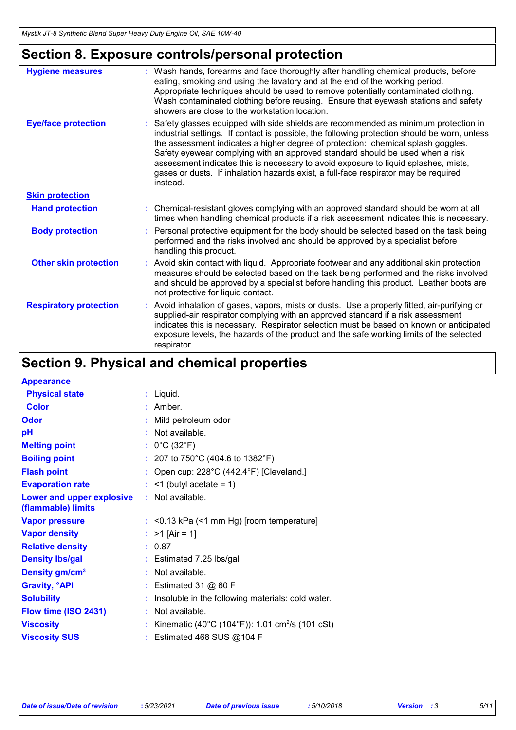# **Section 8. Exposure controls/personal protection**

| <b>Hygiene measures</b>       | : Wash hands, forearms and face thoroughly after handling chemical products, before<br>eating, smoking and using the lavatory and at the end of the working period.<br>Appropriate techniques should be used to remove potentially contaminated clothing.<br>Wash contaminated clothing before reusing. Ensure that eyewash stations and safety<br>showers are close to the workstation location.                                                                                                                                                   |
|-------------------------------|-----------------------------------------------------------------------------------------------------------------------------------------------------------------------------------------------------------------------------------------------------------------------------------------------------------------------------------------------------------------------------------------------------------------------------------------------------------------------------------------------------------------------------------------------------|
| <b>Eye/face protection</b>    | : Safety glasses equipped with side shields are recommended as minimum protection in<br>industrial settings. If contact is possible, the following protection should be worn, unless<br>the assessment indicates a higher degree of protection: chemical splash goggles.<br>Safety eyewear complying with an approved standard should be used when a risk<br>assessment indicates this is necessary to avoid exposure to liquid splashes, mists,<br>gases or dusts. If inhalation hazards exist, a full-face respirator may be required<br>instead. |
| <b>Skin protection</b>        |                                                                                                                                                                                                                                                                                                                                                                                                                                                                                                                                                     |
| <b>Hand protection</b>        | : Chemical-resistant gloves complying with an approved standard should be worn at all<br>times when handling chemical products if a risk assessment indicates this is necessary.                                                                                                                                                                                                                                                                                                                                                                    |
| <b>Body protection</b>        | : Personal protective equipment for the body should be selected based on the task being<br>performed and the risks involved and should be approved by a specialist before<br>handling this product.                                                                                                                                                                                                                                                                                                                                                 |
| <b>Other skin protection</b>  | : Avoid skin contact with liquid. Appropriate footwear and any additional skin protection<br>measures should be selected based on the task being performed and the risks involved<br>and should be approved by a specialist before handling this product. Leather boots are<br>not protective for liquid contact.                                                                                                                                                                                                                                   |
| <b>Respiratory protection</b> | : Avoid inhalation of gases, vapors, mists or dusts. Use a properly fitted, air-purifying or<br>supplied-air respirator complying with an approved standard if a risk assessment<br>indicates this is necessary. Respirator selection must be based on known or anticipated<br>exposure levels, the hazards of the product and the safe working limits of the selected<br>respirator.                                                                                                                                                               |

# **Section 9. Physical and chemical properties**

| <b>Appearance</b>                               |   |                                                               |
|-------------------------------------------------|---|---------------------------------------------------------------|
| <b>Physical state</b>                           |   | : Liquid.                                                     |
| <b>Color</b>                                    |   | $:$ Amber.                                                    |
| Odor                                            |   | Mild petroleum odor                                           |
| рH                                              |   | : Not available.                                              |
| <b>Melting point</b>                            |   | : $0^{\circ}$ C (32 $^{\circ}$ F)                             |
| <b>Boiling point</b>                            |   | : 207 to 750°C (404.6 to 1382°F)                              |
| <b>Flash point</b>                              |   | : Open cup: $228^{\circ}$ C (442.4 $^{\circ}$ F) [Cleveland.] |
| <b>Evaporation rate</b>                         |   | $:$ <1 (butyl acetate = 1)                                    |
| Lower and upper explosive<br>(flammable) limits |   | : Not available.                                              |
| <b>Vapor pressure</b>                           |   | : < 0.13 kPa (< 1 mm Hg) [room temperature]                   |
| <b>Vapor density</b>                            |   | : $>1$ [Air = 1]                                              |
| <b>Relative density</b>                         |   | : 0.87                                                        |
| <b>Density Ibs/gal</b>                          |   | : Estimated 7.25 lbs/gal                                      |
| Density gm/cm <sup>3</sup>                      |   | $:$ Not available.                                            |
| <b>Gravity, °API</b>                            |   | : Estimated 31 $@$ 60 F                                       |
| <b>Solubility</b>                               |   | Insoluble in the following materials: cold water.             |
| Flow time (ISO 2431)                            | ÷ | Not available.                                                |
| <b>Viscosity</b>                                |   | Kinematic (40°C (104°F)): 1.01 cm <sup>2</sup> /s (101 cSt)   |
| <b>Viscosity SUS</b>                            |   | Estimated 468 SUS @104 F                                      |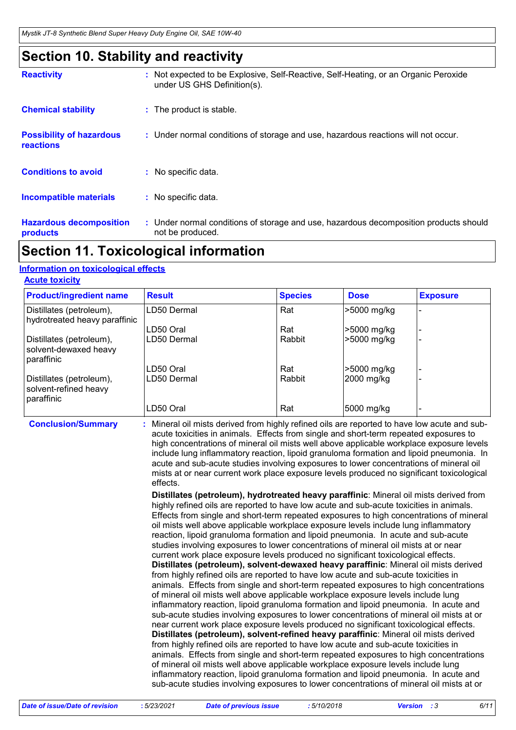### **Section 10. Stability and reactivity**

| <b>Reactivity</b>                                   | : Not expected to be Explosive, Self-Reactive, Self-Heating, or an Organic Peroxide<br>under US GHS Definition(s). |
|-----------------------------------------------------|--------------------------------------------------------------------------------------------------------------------|
| <b>Chemical stability</b>                           | : The product is stable.                                                                                           |
| <b>Possibility of hazardous</b><br><b>reactions</b> | : Under normal conditions of storage and use, hazardous reactions will not occur.                                  |
| <b>Conditions to avoid</b>                          | : No specific data.                                                                                                |
| <b>Incompatible materials</b>                       | : No specific data.                                                                                                |
| <b>Hazardous decomposition</b><br><b>products</b>   | : Under normal conditions of storage and use, hazardous decomposition products should<br>not be produced.          |

### **Section 11. Toxicological information**

#### **Information on toxicological effects**

|  | <b>Acute toxicity</b> |  |
|--|-----------------------|--|
|  |                       |  |

| <b>Product/ingredient name</b>                                  | <b>Result</b> | <b>Species</b> | <b>Dose</b> | <b>Exposure</b> |
|-----------------------------------------------------------------|---------------|----------------|-------------|-----------------|
| Distillates (petroleum),<br>hydrotreated heavy paraffinic       | LD50 Dermal   | Rat            | >5000 mg/kg |                 |
|                                                                 | LD50 Oral     | Rat            | >5000 mg/kg |                 |
| Distillates (petroleum),<br>solvent-dewaxed heavy<br>paraffinic | LD50 Dermal   | Rabbit         | >5000 mg/kg |                 |
|                                                                 | LD50 Oral     | Rat            | -5000 mg/kg |                 |
| Distillates (petroleum),<br>solvent-refined heavy<br>paraffinic | LD50 Dermal   | Rabbit         | 2000 mg/kg  |                 |
|                                                                 | LD50 Oral     | Rat            | 5000 mg/kg  |                 |

**Conclusion/Summary :**

Mineral oil mists derived from highly refined oils are reported to have low acute and subacute toxicities in animals. Effects from single and short-term repeated exposures to high concentrations of mineral oil mists well above applicable workplace exposure levels include lung inflammatory reaction, lipoid granuloma formation and lipoid pneumonia. In acute and sub-acute studies involving exposures to lower concentrations of mineral oil mists at or near current work place exposure levels produced no significant toxicological effects.

**Distillates (petroleum), hydrotreated heavy paraffinic**: Mineral oil mists derived from highly refined oils are reported to have low acute and sub-acute toxicities in animals. Effects from single and short-term repeated exposures to high concentrations of mineral oil mists well above applicable workplace exposure levels include lung inflammatory reaction, lipoid granuloma formation and lipoid pneumonia. In acute and sub-acute studies involving exposures to lower concentrations of mineral oil mists at or near current work place exposure levels produced no significant toxicological effects. **Distillates (petroleum), solvent-dewaxed heavy paraffinic**: Mineral oil mists derived from highly refined oils are reported to have low acute and sub-acute toxicities in animals. Effects from single and short-term repeated exposures to high concentrations of mineral oil mists well above applicable workplace exposure levels include lung inflammatory reaction, lipoid granuloma formation and lipoid pneumonia. In acute and sub-acute studies involving exposures to lower concentrations of mineral oil mists at or near current work place exposure levels produced no significant toxicological effects. **Distillates (petroleum), solvent-refined heavy paraffinic**: Mineral oil mists derived from highly refined oils are reported to have low acute and sub-acute toxicities in animals. Effects from single and short-term repeated exposures to high concentrations of mineral oil mists well above applicable workplace exposure levels include lung inflammatory reaction, lipoid granuloma formation and lipoid pneumonia. In acute and sub-acute studies involving exposures to lower concentrations of mineral oil mists at or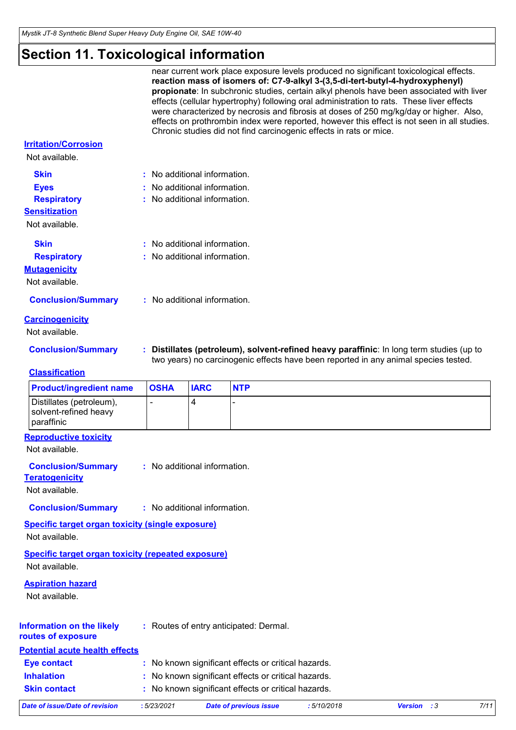# **Section 11. Toxicological information**

|                                                                             |             |                              |                                                     | Chronic studies did not find carcinogenic effects in rats or mice. | near current work place exposure levels produced no significant toxicological effects.<br>reaction mass of isomers of: C7-9-alkyl 3-(3,5-di-tert-butyl-4-hydroxyphenyl)<br>propionate: In subchronic studies, certain alkyl phenols have been associated with liver<br>effects (cellular hypertrophy) following oral administration to rats. These liver effects<br>were characterized by necrosis and fibrosis at doses of 250 mg/kg/day or higher. Also,<br>effects on prothrombin index were reported, however this effect is not seen in all studies. |      |
|-----------------------------------------------------------------------------|-------------|------------------------------|-----------------------------------------------------|--------------------------------------------------------------------|-----------------------------------------------------------------------------------------------------------------------------------------------------------------------------------------------------------------------------------------------------------------------------------------------------------------------------------------------------------------------------------------------------------------------------------------------------------------------------------------------------------------------------------------------------------|------|
| <b>Irritation/Corrosion</b><br>Not available.                               |             |                              |                                                     |                                                                    |                                                                                                                                                                                                                                                                                                                                                                                                                                                                                                                                                           |      |
| <b>Skin</b>                                                                 |             | : No additional information. |                                                     |                                                                    |                                                                                                                                                                                                                                                                                                                                                                                                                                                                                                                                                           |      |
| <b>Eyes</b>                                                                 |             | : No additional information. |                                                     |                                                                    |                                                                                                                                                                                                                                                                                                                                                                                                                                                                                                                                                           |      |
| <b>Respiratory</b>                                                          |             | : No additional information. |                                                     |                                                                    |                                                                                                                                                                                                                                                                                                                                                                                                                                                                                                                                                           |      |
| <b>Sensitization</b>                                                        |             |                              |                                                     |                                                                    |                                                                                                                                                                                                                                                                                                                                                                                                                                                                                                                                                           |      |
| Not available.                                                              |             |                              |                                                     |                                                                    |                                                                                                                                                                                                                                                                                                                                                                                                                                                                                                                                                           |      |
| <b>Skin</b>                                                                 |             | : No additional information. |                                                     |                                                                    |                                                                                                                                                                                                                                                                                                                                                                                                                                                                                                                                                           |      |
| <b>Respiratory</b>                                                          |             | : No additional information. |                                                     |                                                                    |                                                                                                                                                                                                                                                                                                                                                                                                                                                                                                                                                           |      |
| <b>Mutagenicity</b>                                                         |             |                              |                                                     |                                                                    |                                                                                                                                                                                                                                                                                                                                                                                                                                                                                                                                                           |      |
| Not available.                                                              |             |                              |                                                     |                                                                    |                                                                                                                                                                                                                                                                                                                                                                                                                                                                                                                                                           |      |
| <b>Conclusion/Summary</b>                                                   |             | : No additional information. |                                                     |                                                                    |                                                                                                                                                                                                                                                                                                                                                                                                                                                                                                                                                           |      |
| <b>Carcinogenicity</b>                                                      |             |                              |                                                     |                                                                    |                                                                                                                                                                                                                                                                                                                                                                                                                                                                                                                                                           |      |
| Not available.                                                              |             |                              |                                                     |                                                                    |                                                                                                                                                                                                                                                                                                                                                                                                                                                                                                                                                           |      |
| <b>Conclusion/Summary</b>                                                   |             |                              |                                                     |                                                                    | : Distillates (petroleum), solvent-refined heavy paraffinic: In long term studies (up to                                                                                                                                                                                                                                                                                                                                                                                                                                                                  |      |
| <b>Classification</b>                                                       |             |                              |                                                     |                                                                    | two years) no carcinogenic effects have been reported in any animal species tested.                                                                                                                                                                                                                                                                                                                                                                                                                                                                       |      |
| <b>Product/ingredient name</b>                                              | <b>OSHA</b> | <b>IARC</b>                  | <b>NTP</b>                                          |                                                                    |                                                                                                                                                                                                                                                                                                                                                                                                                                                                                                                                                           |      |
| Distillates (petroleum),<br>solvent-refined heavy<br>paraffinic             |             | 4                            |                                                     |                                                                    |                                                                                                                                                                                                                                                                                                                                                                                                                                                                                                                                                           |      |
| <b>Reproductive toxicity</b>                                                |             |                              |                                                     |                                                                    |                                                                                                                                                                                                                                                                                                                                                                                                                                                                                                                                                           |      |
| Not available                                                               |             |                              |                                                     |                                                                    |                                                                                                                                                                                                                                                                                                                                                                                                                                                                                                                                                           |      |
| <b>Conclusion/Summary</b>                                                   |             | : No additional information. |                                                     |                                                                    |                                                                                                                                                                                                                                                                                                                                                                                                                                                                                                                                                           |      |
| <b>Teratogenicity</b>                                                       |             |                              |                                                     |                                                                    |                                                                                                                                                                                                                                                                                                                                                                                                                                                                                                                                                           |      |
| Not available.                                                              |             |                              |                                                     |                                                                    |                                                                                                                                                                                                                                                                                                                                                                                                                                                                                                                                                           |      |
| <b>Conclusion/Summary</b>                                                   |             | : No additional information. |                                                     |                                                                    |                                                                                                                                                                                                                                                                                                                                                                                                                                                                                                                                                           |      |
| <b>Specific target organ toxicity (single exposure)</b><br>Not available.   |             |                              |                                                     |                                                                    |                                                                                                                                                                                                                                                                                                                                                                                                                                                                                                                                                           |      |
| <b>Specific target organ toxicity (repeated exposure)</b><br>Not available. |             |                              |                                                     |                                                                    |                                                                                                                                                                                                                                                                                                                                                                                                                                                                                                                                                           |      |
| <b>Aspiration hazard</b><br>Not available.                                  |             |                              |                                                     |                                                                    |                                                                                                                                                                                                                                                                                                                                                                                                                                                                                                                                                           |      |
| <b>Information on the likely</b><br>routes of exposure                      |             |                              | : Routes of entry anticipated: Dermal.              |                                                                    |                                                                                                                                                                                                                                                                                                                                                                                                                                                                                                                                                           |      |
| <b>Potential acute health effects</b>                                       |             |                              |                                                     |                                                                    |                                                                                                                                                                                                                                                                                                                                                                                                                                                                                                                                                           |      |
| <b>Eye contact</b>                                                          |             |                              | : No known significant effects or critical hazards. |                                                                    |                                                                                                                                                                                                                                                                                                                                                                                                                                                                                                                                                           |      |
| <b>Inhalation</b>                                                           |             |                              | : No known significant effects or critical hazards. |                                                                    |                                                                                                                                                                                                                                                                                                                                                                                                                                                                                                                                                           |      |
| <b>Skin contact</b>                                                         |             |                              | : No known significant effects or critical hazards. |                                                                    |                                                                                                                                                                                                                                                                                                                                                                                                                                                                                                                                                           |      |
| <b>Date of issue/Date of revision</b>                                       | : 5/23/2021 |                              | <b>Date of previous issue</b>                       | :5/10/2018                                                         | <b>Version</b> : 3                                                                                                                                                                                                                                                                                                                                                                                                                                                                                                                                        | 7/11 |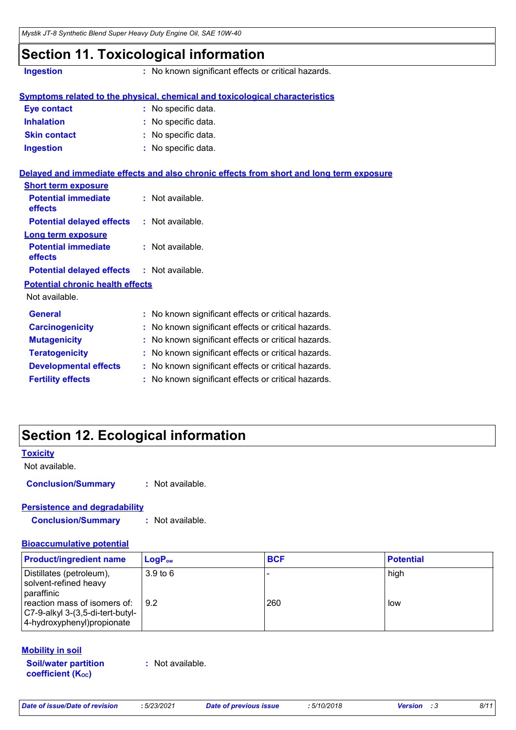### **Section 11. Toxicological information**

**Ingestion :** No known significant effects or critical hazards.

|                     | <b>Symptoms related to the physical, chemical and toxicological characteristics</b> |
|---------------------|-------------------------------------------------------------------------------------|
| <b>Eye contact</b>  | : No specific data.                                                                 |
| <b>Inhalation</b>   | : No specific data.                                                                 |
| <b>Skin contact</b> | : No specific data.                                                                 |
| <b>Ingestion</b>    | : No specific data.                                                                 |
|                     |                                                                                     |

|                                                   | Delayed and immediate effects and also chronic effects from short and long term exposure |
|---------------------------------------------------|------------------------------------------------------------------------------------------|
| <b>Short term exposure</b>                        |                                                                                          |
| <b>Potential immediate</b><br><b>effects</b>      | : Not available.                                                                         |
| <b>Potential delayed effects : Not available.</b> |                                                                                          |
| <b>Long term exposure</b>                         |                                                                                          |
| <b>Potential immediate</b><br><b>effects</b>      | : Not available.                                                                         |
| <b>Potential delayed effects : Not available.</b> |                                                                                          |
| <b>Potential chronic health effects</b>           |                                                                                          |
| Not available.                                    |                                                                                          |
| <b>General</b>                                    | : No known significant effects or critical hazards.                                      |
| <b>Carcinogenicity</b>                            | : No known significant effects or critical hazards.                                      |
| <b>Mutagenicity</b>                               | : No known significant effects or critical hazards.                                      |
| <b>Teratogenicity</b>                             | : No known significant effects or critical hazards.                                      |
| <b>Developmental effects</b>                      | : No known significant effects or critical hazards.                                      |
| <b>Fertility effects</b>                          | : No known significant effects or critical hazards.                                      |

### **Section 12. Ecological information**

#### **Toxicity**

Not available.

**Conclusion/Summary :** Not available.

#### **Persistence and degradability**

**Conclusion/Summary :** Not available.

#### **Bioaccumulative potential**

| <b>Product/ingredient name</b>                                                                  | $LoaPow$                    | <b>BCF</b> | <b>Potential</b> |
|-------------------------------------------------------------------------------------------------|-----------------------------|------------|------------------|
| Distillates (petroleum),<br>solvent-refined heavy<br>paraffinic<br>reaction mass of isomers of: | 3.9 <sub>to</sub> 6<br>19.2 | 260        | high<br>low      |
| C7-9-alkyl 3-(3,5-di-tert-butyl-<br>4-hydroxyphenyl) propionate                                 |                             |            |                  |

#### **Mobility in soil**

**Soil/water partition coefficient (KOC)**

**:** Not available.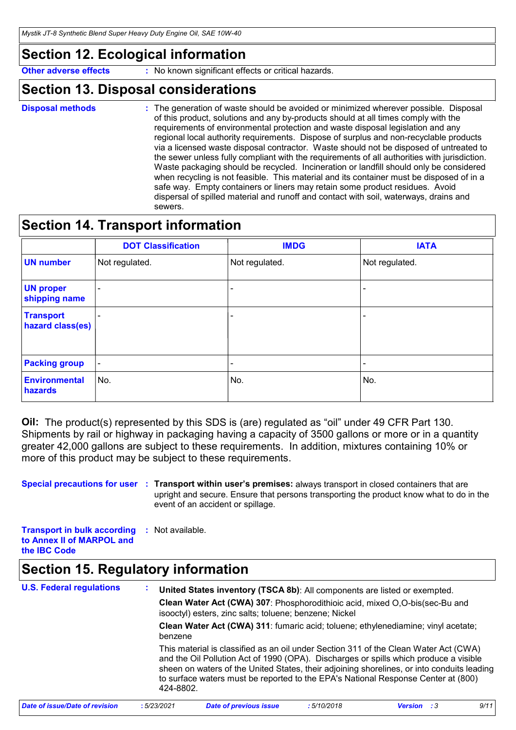### **Section 12. Ecological information**

**Other adverse effects** : No known significant effects or critical hazards.

#### **Section 13. Disposal considerations**

**Disposal methods :**

The generation of waste should be avoided or minimized wherever possible. Disposal of this product, solutions and any by-products should at all times comply with the requirements of environmental protection and waste disposal legislation and any regional local authority requirements. Dispose of surplus and non-recyclable products via a licensed waste disposal contractor. Waste should not be disposed of untreated to the sewer unless fully compliant with the requirements of all authorities with jurisdiction. Waste packaging should be recycled. Incineration or landfill should only be considered when recycling is not feasible. This material and its container must be disposed of in a safe way. Empty containers or liners may retain some product residues. Avoid dispersal of spilled material and runoff and contact with soil, waterways, drains and sewers.

### **Section 14. Transport information**

|                                      | <b>DOT Classification</b> | <b>IMDG</b>    | <b>IATA</b>              |
|--------------------------------------|---------------------------|----------------|--------------------------|
| <b>UN number</b>                     | Not regulated.            | Not regulated. | Not regulated.           |
| <b>UN proper</b><br>shipping name    | $\overline{\phantom{0}}$  |                |                          |
| <b>Transport</b><br>hazard class(es) | -                         |                |                          |
| <b>Packing group</b>                 | $\overline{\phantom{a}}$  |                | $\overline{\phantom{0}}$ |
| <b>Environmental</b><br>hazards      | No.                       | No.            | No.                      |

**Oil:** The product(s) represented by this SDS is (are) regulated as "oil" under 49 CFR Part 130. Shipments by rail or highway in packaging having a capacity of 3500 gallons or more or in a quantity greater 42,000 gallons are subject to these requirements. In addition, mixtures containing 10% or more of this product may be subject to these requirements.

**Special precautions for user** : Transport within user's premises: always transport in closed containers that are upright and secure. Ensure that persons transporting the product know what to do in the event of an accident or spillage.

**Transport in bulk according :** Not available. **to Annex II of MARPOL and the IBC Code**

### **Section 15. Regulatory information**

**U.S. Federal regulations : Clean Water Act (CWA) 307**: Phosphorodithioic acid, mixed O,O-bis(sec-Bu and isooctyl) esters, zinc salts; toluene; benzene; Nickel **Clean Water Act (CWA) 311**: fumaric acid; toluene; ethylenediamine; vinyl acetate; benzene **United States inventory (TSCA 8b)**: All components are listed or exempted. This material is classified as an oil under Section 311 of the Clean Water Act (CWA) and the Oil Pollution Act of 1990 (OPA). Discharges or spills which produce a visible sheen on waters of the United States, their adjoining shorelines, or into conduits leading to surface waters must be reported to the EPA's National Response Center at (800) 424-8802. *Date of issue/Date of revision* **:** *5/23/2021 Date of previous issue : 5/10/2018 Version : 3 9/11*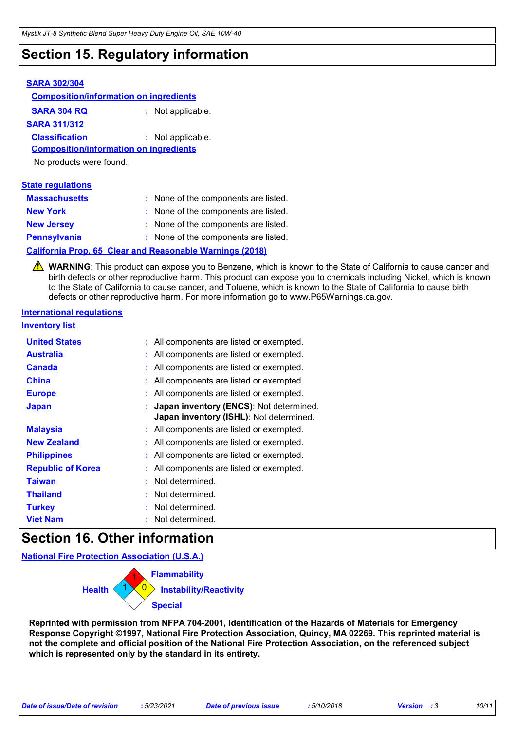### **Section 15. Regulatory information**

#### **SARA 302/304 SARA 304 RQ :** Not applicable. **Composition/information on ingredients SARA 311/312 Classification :** Not applicable. No products were found. **Composition/information on ingredients**

| <b>State regulations</b> |                                                                 |
|--------------------------|-----------------------------------------------------------------|
| <b>Massachusetts</b>     | : None of the components are listed.                            |
| <b>New York</b>          | : None of the components are listed.                            |
| <b>New Jersey</b>        | : None of the components are listed.                            |
| <b>Pennsylvania</b>      | : None of the components are listed.                            |
|                          | <b>California Prop. 65 Clear and Reasonable Warnings (2018)</b> |

WARNING: This product can expose you to Benzene, which is known to the State of California to cause cancer and birth defects or other reproductive harm. This product can expose you to chemicals including Nickel, which is known to the State of California to cause cancer, and Toluene, which is known to the State of California to cause birth defects or other reproductive harm. For more information go to www.P65Warnings.ca.gov.

#### **International regulations**

#### **Inventory list**

| <b>United States</b>     | : All components are listed or exempted.                                             |
|--------------------------|--------------------------------------------------------------------------------------|
| Australia                | : All components are listed or exempted.                                             |
| <b>Canada</b>            | : All components are listed or exempted.                                             |
| <b>China</b>             | : All components are listed or exempted.                                             |
| <b>Europe</b>            | : All components are listed or exempted.                                             |
| <b>Japan</b>             | : Japan inventory (ENCS): Not determined.<br>Japan inventory (ISHL): Not determined. |
| <b>Malaysia</b>          | : All components are listed or exempted.                                             |
| <b>New Zealand</b>       | : All components are listed or exempted.                                             |
| <b>Philippines</b>       | : All components are listed or exempted.                                             |
| <b>Republic of Korea</b> | : All components are listed or exempted.                                             |
| <b>Taiwan</b>            | : Not determined.                                                                    |
| <b>Thailand</b>          | : Not determined.                                                                    |
| <b>Turkey</b>            | : Not determined.                                                                    |
| <b>Viet Nam</b>          | : Not determined.                                                                    |

### **Section 16. Other information**

**National Fire Protection Association (U.S.A.)**

| <b>Flammability</b>                            |
|------------------------------------------------|
| <b>Health</b><br><b>Instability/Reactivity</b> |
| <b>Special</b>                                 |

**Reprinted with permission from NFPA 704-2001, Identification of the Hazards of Materials for Emergency Response Copyright ©1997, National Fire Protection Association, Quincy, MA 02269. This reprinted material is not the complete and official position of the National Fire Protection Association, on the referenced subject which is represented only by the standard in its entirety.**